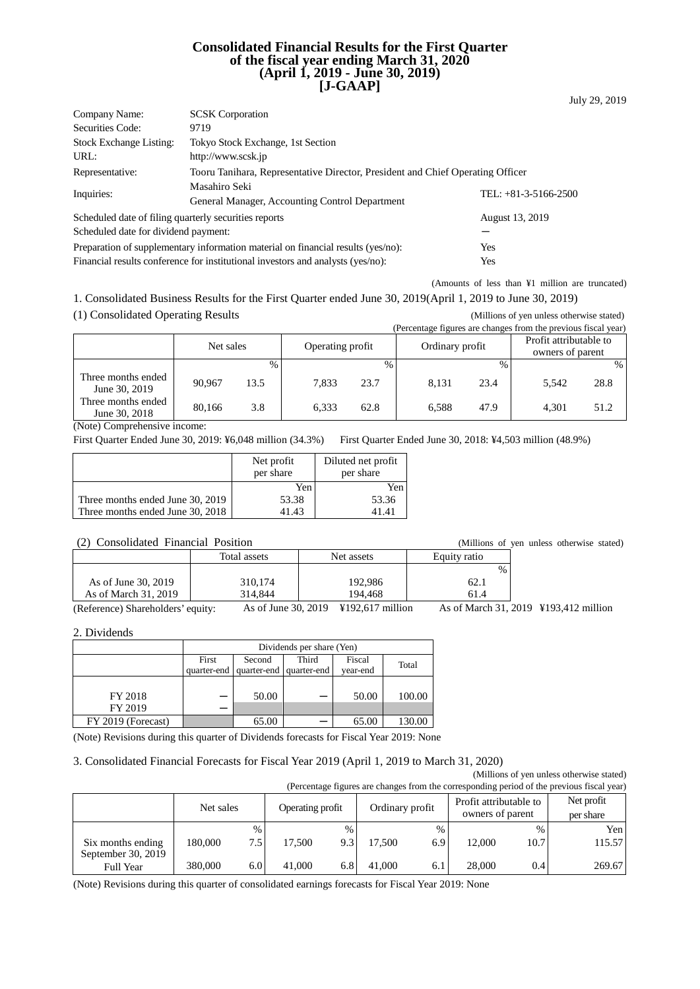#### **Consolidated Financial Results for the First Quarter of the fiscal year ending March 31, 2020 (April 1, 2019 - June 30, 2019) [J-GAAP]**

| Company Name:                                                                           | <b>SCSK</b> Corporation                                                                |                        |  |  |  |  |
|-----------------------------------------------------------------------------------------|----------------------------------------------------------------------------------------|------------------------|--|--|--|--|
| Securities Code:                                                                        | 9719                                                                                   |                        |  |  |  |  |
| <b>Stock Exchange Listing:</b>                                                          | Tokyo Stock Exchange, 1st Section                                                      |                        |  |  |  |  |
| URL:                                                                                    | http://www.scsk.jp                                                                     |                        |  |  |  |  |
| Representative:                                                                         | Tooru Tanihara, Representative Director, President and Chief Operating Officer         |                        |  |  |  |  |
| Inquiries:                                                                              | Masahiro Seki                                                                          | TEL: $+81-3-5166-2500$ |  |  |  |  |
|                                                                                         | General Manager, Accounting Control Department                                         |                        |  |  |  |  |
| Scheduled date of filing quarterly securities reports                                   |                                                                                        | August 13, 2019        |  |  |  |  |
| Scheduled date for dividend payment:                                                    |                                                                                        |                        |  |  |  |  |
| Preparation of supplementary information material on financial results (yes/no):<br>Yes |                                                                                        |                        |  |  |  |  |
|                                                                                         | Financial results conference for institutional investors and analysts (yes/no):<br>Yes |                        |  |  |  |  |

(Amounts of less than ¥1 million are truncated) 1. Consolidated Business Results for the First Quarter ended June 30, 2019(April 1, 2019 to June 30, 2019)

(1) Consolidated Operating Results (Millions of yen unless otherwise stated)<br>
(Percentage figures are changes from the pravious fiscal year)

|                                     |           |      |                  |      |                 |               | (Percentage figures are changes from the previous fiscal year) |      |
|-------------------------------------|-----------|------|------------------|------|-----------------|---------------|----------------------------------------------------------------|------|
|                                     | Net sales |      | Operating profit |      | Ordinary profit |               | Profit attributable to                                         |      |
|                                     |           |      |                  |      |                 |               | owners of parent                                               |      |
|                                     |           | $\%$ |                  | $\%$ |                 | $\frac{0}{0}$ |                                                                | $\%$ |
| Three months ended<br>June 30, 2019 | 90.967    | 13.5 | 7.833            | 23.7 | 8.131           | 23.4          | 5.542                                                          | 28.8 |
| Three months ended<br>June 30, 2018 | 80.166    | 3.8  | 6,333            | 62.8 | 6.588           | 47.9          | 4.301                                                          | 51.2 |

(Note) Comprehensive income:

First Quarter Ended June 30, 2019: ¥6,048 million (34.3%) First Quarter Ended June 30, 2018: ¥4,503 million (48.9%)

|                                  | Net profit<br>per share | Diluted net profit<br>per share |
|----------------------------------|-------------------------|---------------------------------|
|                                  | Yen                     | Yen                             |
| Three months ended June 30, 2019 | 53.38                   | 53.36                           |
| Three months ended June 30, 2018 | 41.43                   | 41.41                           |

#### (2) Consolidated Financial Position (Millions of yen unless otherwise stated)

| $\cdot$ $\sim$ $\cdot$<br>$\sim$                  |              |                                                                                      | ,,,,,,,,,,,,,,,,, | $\frac{1}{2}$                                 |
|---------------------------------------------------|--------------|--------------------------------------------------------------------------------------|-------------------|-----------------------------------------------|
|                                                   | Total assets | Net assets                                                                           | Equity ratio      |                                               |
|                                                   |              |                                                                                      | $\%$              |                                               |
| As of June 30, 2019                               | 310.174      | 192,986                                                                              | 62.1              |                                               |
| As of March 31, 2019                              | 314.844      | 194.468                                                                              | 61.4              |                                               |
| $\sqrt{D}$ $C$ $\sqrt{C}$ $1$ $1$ $1$ $2$ $3$ $4$ |              | $\lambda = 1$ L <sub>2</sub> $\lambda = 20.2010$ V <sub>10</sub> 2 $\lambda = 17.21$ |                   | $A = -4 M$ <sub>r</sub> $-1 21 2010 3102 412$ |

(Reference) Shareholders' equity: As of June 30, 2019 ¥192,617 million As of March 31, 2019 ¥193,412 million

2. Dividends

|                    | Dividends per share (Yen) |                           |                         |          |        |  |  |
|--------------------|---------------------------|---------------------------|-------------------------|----------|--------|--|--|
|                    | First                     | Fiscal<br>Third<br>Second |                         |          |        |  |  |
|                    | quarter-end               |                           | quarter-end quarter-end | year-end | Total  |  |  |
|                    |                           |                           |                         |          |        |  |  |
| FY 2018            |                           | 50.00                     |                         | 50.00    | 100.00 |  |  |
| FY 2019            |                           |                           |                         |          |        |  |  |
| FY 2019 (Forecast) |                           | 65.00                     |                         | 65.00    |        |  |  |

(Note) Revisions during this quarter of Dividends forecasts for Fiscal Year 2019: None

#### 3. Consolidated Financial Forecasts for Fiscal Year 2019 (April 1, 2019 to March 31, 2020)

(Millions of yen unless otherwise stated) (Percentage figures are changes from the corresponding period of the previous fiscal year)

|                                         | Net sales |             | Operating profit |      | Ordinary profit |             | Profit attributable to<br>owners of parent |              | Net profit<br>per share |
|-----------------------------------------|-----------|-------------|------------------|------|-----------------|-------------|--------------------------------------------|--------------|-------------------------|
| Six months ending<br>September 30, 2019 | 180.000   | $\%$<br>7.5 | 17.500           | $\%$ | 17.500          | $\%$<br>6.9 | 12.000                                     | $\%$<br>10.7 | Yen<br>115.57           |
| <b>Full Year</b>                        | 380,000   | 6.0         | 41,000           | 6.8  | 41,000          | 6.1         | 28,000                                     | 0.4          | 269.67                  |

(Note) Revisions during this quarter of consolidated earnings forecasts for Fiscal Year 2019: None

July 29, 2019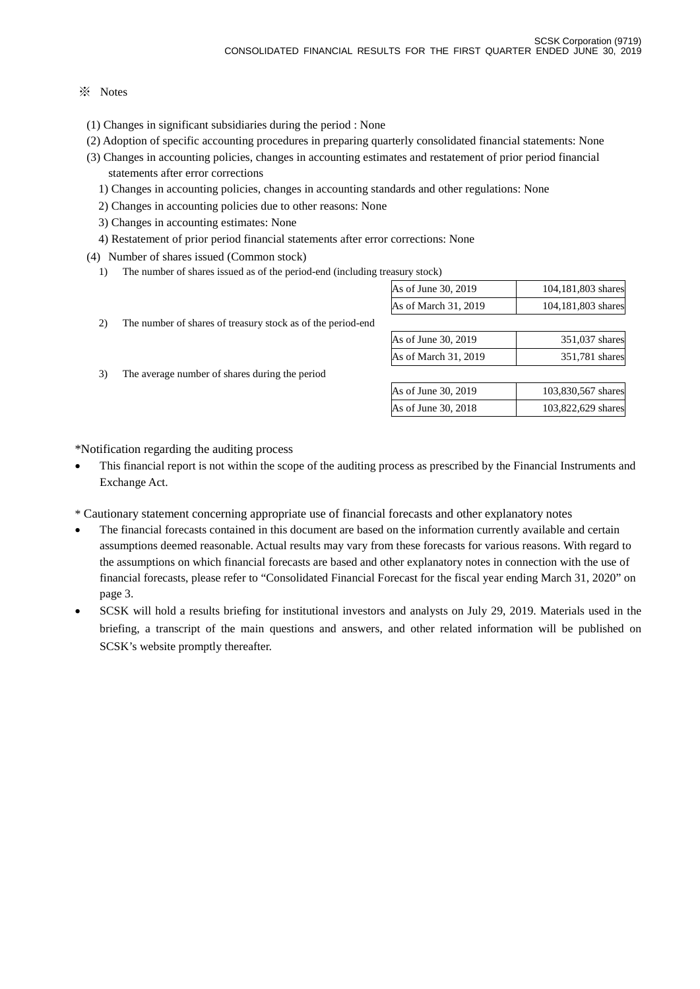### ※ Notes

- (1) Changes in significant subsidiaries during the period : None
- (2) Adoption of specific accounting procedures in preparing quarterly consolidated financial statements: None
- (3) Changes in accounting policies, changes in accounting estimates and restatement of prior period financial statements after error corrections
	- 1) Changes in accounting policies, changes in accounting standards and other regulations: None
	- 2) Changes in accounting policies due to other reasons: None
	- 3) Changes in accounting estimates: None
	- 4) Restatement of prior period financial statements after error corrections: None
- (4) Number of shares issued (Common stock)
	- 1) The number of shares issued as of the period-end (including treasury stock)

| $\cdots$ . $\cdots$ . $\cdots$ |                    |
|--------------------------------|--------------------|
| As of June 30, 2019            | 104,181,803 shares |
| As of March 31, 2019           | 104,181,803 shares |
|                                |                    |
|                                |                    |

- 2) The number of shares of treasury stock as of the period-end
- 3) The average number of shares during the period

| 351,037 shares |
|----------------|
| 351,781 shares |
|                |

| As of June 30, 2019 | 103,830,567 shares |
|---------------------|--------------------|
| As of June 30, 2018 | 103,822,629 shares |

\*Notification regarding the auditing process

- This financial report is not within the scope of the auditing process as prescribed by the Financial Instruments and Exchange Act.
- \* Cautionary statement concerning appropriate use of financial forecasts and other explanatory notes
- The financial forecasts contained in this document are based on the information currently available and certain assumptions deemed reasonable. Actual results may vary from these forecasts for various reasons. With regard to the assumptions on which financial forecasts are based and other explanatory notes in connection with the use of financial forecasts, please refer to "Consolidated Financial Forecast for the fiscal year ending March 31, 2020" on page 3.
- SCSK will hold a results briefing for institutional investors and analysts on July 29, 2019. Materials used in the briefing, a transcript of the main questions and answers, and other related information will be published on SCSK's website promptly thereafter.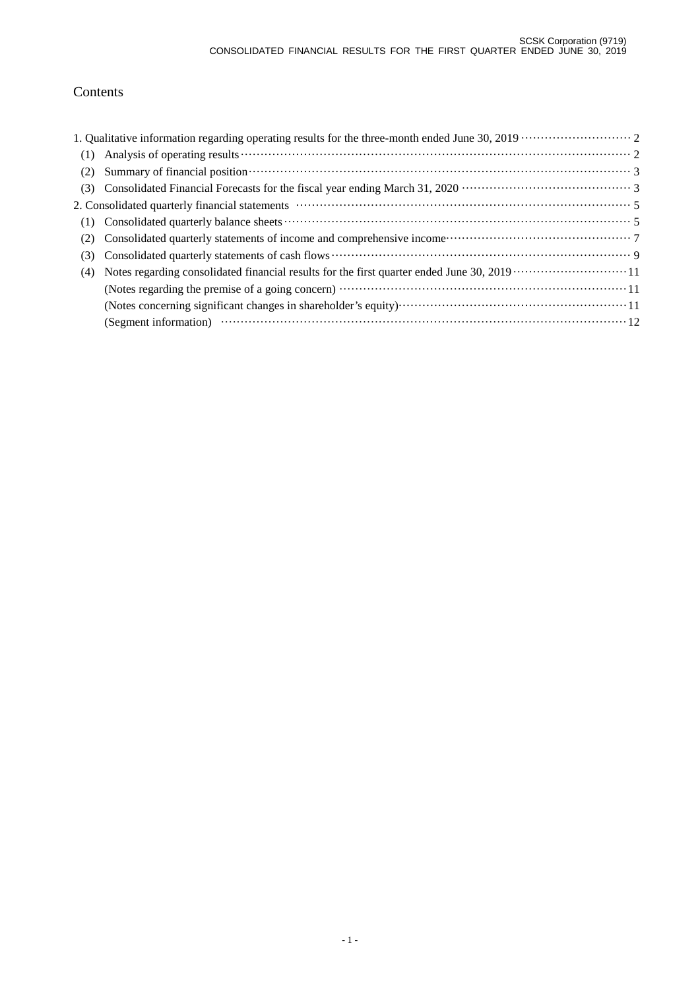# Contents

| (1) |  |
|-----|--|
| (2) |  |
| (3) |  |
|     |  |
| (1) |  |
| (2) |  |
| (3) |  |
| (4) |  |
|     |  |
|     |  |
|     |  |
|     |  |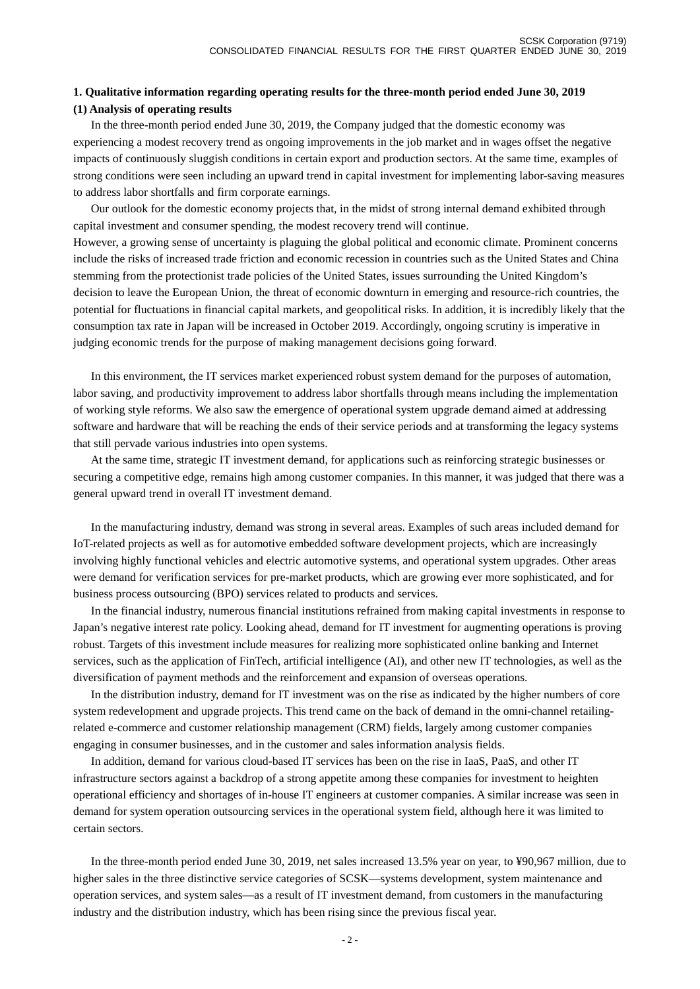### **1. Qualitative information regarding operating results for the three-month period ended June 30, 2019 (1) Analysis of operating results**

In the three-month period ended June 30, 2019, the Company judged that the domestic economy was experiencing a modest recovery trend as ongoing improvements in the job market and in wages offset the negative impacts of continuously sluggish conditions in certain export and production sectors. At the same time, examples of strong conditions were seen including an upward trend in capital investment for implementing labor-saving measures to address labor shortfalls and firm corporate earnings.

Our outlook for the domestic economy projects that, in the midst of strong internal demand exhibited through capital investment and consumer spending, the modest recovery trend will continue.

However, a growing sense of uncertainty is plaguing the global political and economic climate. Prominent concerns include the risks of increased trade friction and economic recession in countries such as the United States and China stemming from the protectionist trade policies of the United States, issues surrounding the United Kingdom's decision to leave the European Union, the threat of economic downturn in emerging and resource-rich countries, the potential for fluctuations in financial capital markets, and geopolitical risks. In addition, it is incredibly likely that the consumption tax rate in Japan will be increased in October 2019. Accordingly, ongoing scrutiny is imperative in judging economic trends for the purpose of making management decisions going forward.

In this environment, the IT services market experienced robust system demand for the purposes of automation, labor saving, and productivity improvement to address labor shortfalls through means including the implementation of working style reforms. We also saw the emergence of operational system upgrade demand aimed at addressing software and hardware that will be reaching the ends of their service periods and at transforming the legacy systems that still pervade various industries into open systems.

At the same time, strategic IT investment demand, for applications such as reinforcing strategic businesses or securing a competitive edge, remains high among customer companies. In this manner, it was judged that there was a general upward trend in overall IT investment demand.

In the manufacturing industry, demand was strong in several areas. Examples of such areas included demand for IoT-related projects as well as for automotive embedded software development projects, which are increasingly involving highly functional vehicles and electric automotive systems, and operational system upgrades. Other areas were demand for verification services for pre-market products, which are growing ever more sophisticated, and for business process outsourcing (BPO) services related to products and services.

In the financial industry, numerous financial institutions refrained from making capital investments in response to Japan's negative interest rate policy. Looking ahead, demand for IT investment for augmenting operations is proving robust. Targets of this investment include measures for realizing more sophisticated online banking and Internet services, such as the application of FinTech, artificial intelligence (AI), and other new IT technologies, as well as the diversification of payment methods and the reinforcement and expansion of overseas operations.

In the distribution industry, demand for IT investment was on the rise as indicated by the higher numbers of core system redevelopment and upgrade projects. This trend came on the back of demand in the omni-channel retailingrelated e-commerce and customer relationship management (CRM) fields, largely among customer companies engaging in consumer businesses, and in the customer and sales information analysis fields.

In addition, demand for various cloud-based IT services has been on the rise in IaaS, PaaS, and other IT infrastructure sectors against a backdrop of a strong appetite among these companies for investment to heighten operational efficiency and shortages of in-house IT engineers at customer companies. A similar increase was seen in demand for system operation outsourcing services in the operational system field, although here it was limited to certain sectors.

In the three-month period ended June 30, 2019, net sales increased 13.5% year on year, to ¥90,967 million, due to higher sales in the three distinctive service categories of SCSK—systems development, system maintenance and operation services, and system sales—as a result of IT investment demand, from customers in the manufacturing industry and the distribution industry, which has been rising since the previous fiscal year.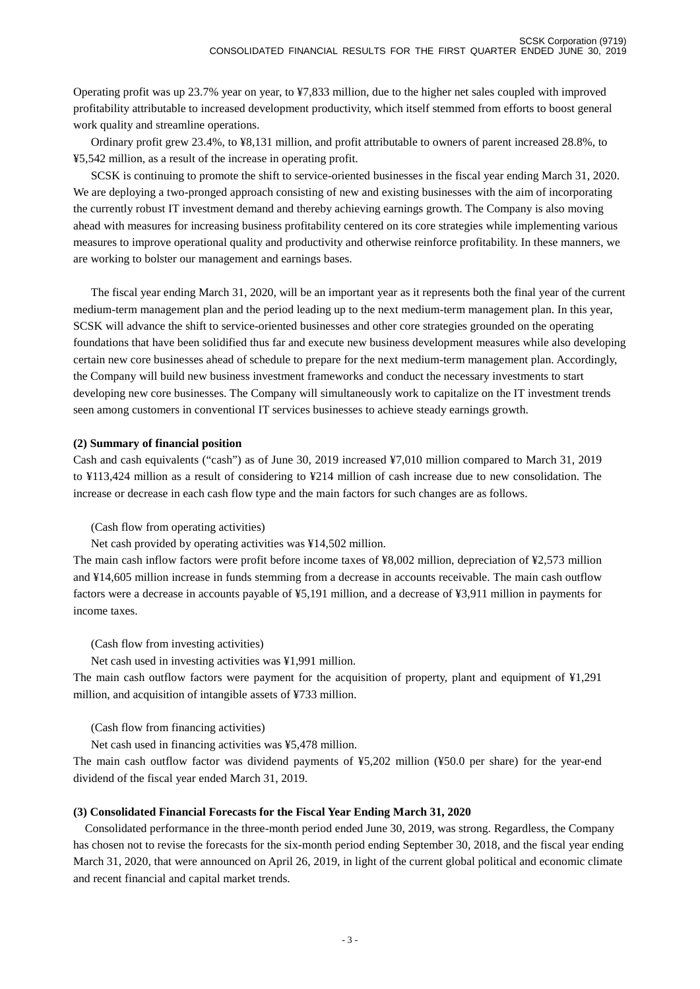Operating profit was up 23.7% year on year, to ¥7,833 million, due to the higher net sales coupled with improved profitability attributable to increased development productivity, which itself stemmed from efforts to boost general work quality and streamline operations.

Ordinary profit grew 23.4%, to ¥8,131 million, and profit attributable to owners of parent increased 28.8%, to ¥5,542 million, as a result of the increase in operating profit.

SCSK is continuing to promote the shift to service-oriented businesses in the fiscal year ending March 31, 2020. We are deploying a two-pronged approach consisting of new and existing businesses with the aim of incorporating the currently robust IT investment demand and thereby achieving earnings growth. The Company is also moving ahead with measures for increasing business profitability centered on its core strategies while implementing various measures to improve operational quality and productivity and otherwise reinforce profitability. In these manners, we are working to bolster our management and earnings bases.

The fiscal year ending March 31, 2020, will be an important year as it represents both the final year of the current medium-term management plan and the period leading up to the next medium-term management plan. In this year, SCSK will advance the shift to service-oriented businesses and other core strategies grounded on the operating foundations that have been solidified thus far and execute new business development measures while also developing certain new core businesses ahead of schedule to prepare for the next medium-term management plan. Accordingly, the Company will build new business investment frameworks and conduct the necessary investments to start developing new core businesses. The Company will simultaneously work to capitalize on the IT investment trends seen among customers in conventional IT services businesses to achieve steady earnings growth.

#### **(2) Summary of financial position**

Cash and cash equivalents ("cash") as of June 30, 2019 increased ¥7,010 million compared to March 31, 2019 to ¥113,424 million as a result of considering to ¥214 million of cash increase due to new consolidation. The increase or decrease in each cash flow type and the main factors for such changes are as follows.

(Cash flow from operating activities)

Net cash provided by operating activities was ¥14,502 million.

The main cash inflow factors were profit before income taxes of ¥8,002 million, depreciation of ¥2,573 million and ¥14,605 million increase in funds stemming from a decrease in accounts receivable. The main cash outflow factors were a decrease in accounts payable of ¥5,191 million, and a decrease of ¥3,911 million in payments for income taxes.

(Cash flow from investing activities)

Net cash used in investing activities was ¥1,991 million.

The main cash outflow factors were payment for the acquisition of property, plant and equipment of ¥1,291 million, and acquisition of intangible assets of ¥733 million.

(Cash flow from financing activities)

Net cash used in financing activities was ¥5,478 million.

The main cash outflow factor was dividend payments of ¥5,202 million (¥50.0 per share) for the year-end dividend of the fiscal year ended March 31, 2019.

### **(3) Consolidated Financial Forecasts for the Fiscal Year Ending March 31, 2020**

Consolidated performance in the three-month period ended June 30, 2019, was strong. Regardless, the Company has chosen not to revise the forecasts for the six-month period ending September 30, 2018, and the fiscal year ending March 31, 2020, that were announced on April 26, 2019, in light of the current global political and economic climate and recent financial and capital market trends.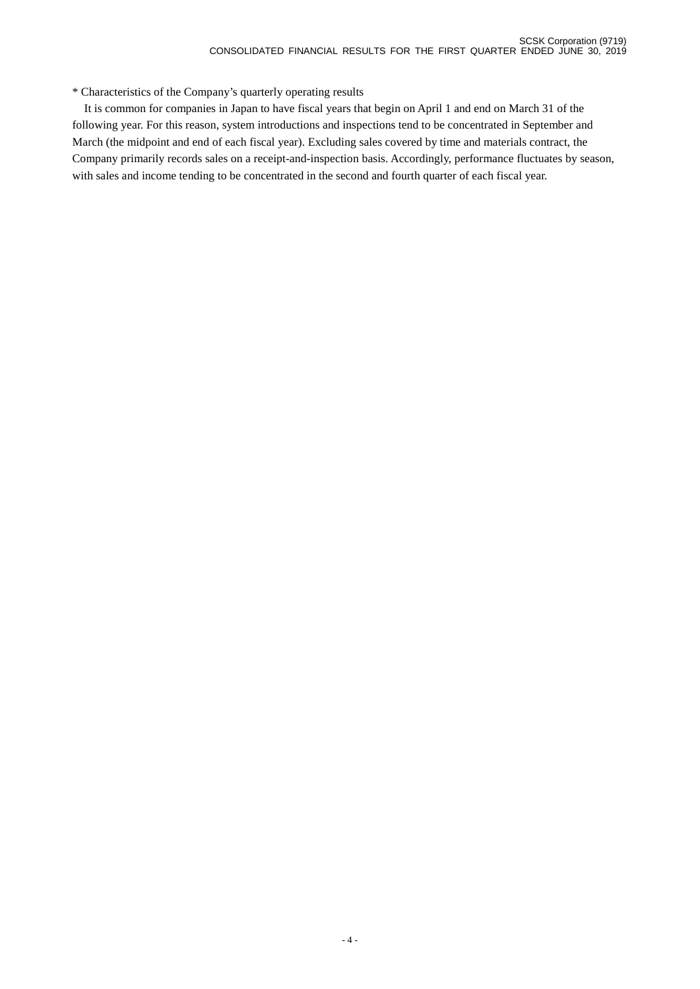\* Characteristics of the Company's quarterly operating results

 It is common for companies in Japan to have fiscal years that begin on April 1 and end on March 31 of the following year. For this reason, system introductions and inspections tend to be concentrated in September and March (the midpoint and end of each fiscal year). Excluding sales covered by time and materials contract, the Company primarily records sales on a receipt-and-inspection basis. Accordingly, performance fluctuates by season, with sales and income tending to be concentrated in the second and fourth quarter of each fiscal year.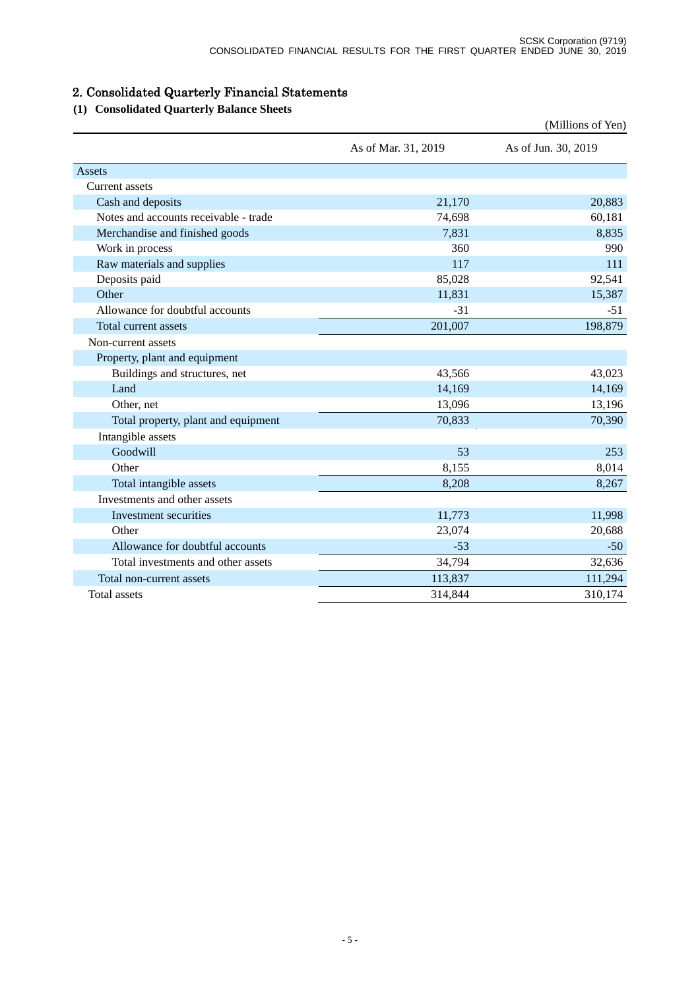# 2. Consolidated Quarterly Financial Statements

# **(1) Consolidated Quarterly Balance Sheets**

|                                       |                     | (Millions of Yen)   |
|---------------------------------------|---------------------|---------------------|
|                                       | As of Mar. 31, 2019 | As of Jun. 30, 2019 |
| Assets                                |                     |                     |
| <b>Current assets</b>                 |                     |                     |
| Cash and deposits                     | 21,170              | 20,883              |
| Notes and accounts receivable - trade | 74,698              | 60,181              |
| Merchandise and finished goods        | 7,831               | 8,835               |
| Work in process                       | 360                 | 990                 |
| Raw materials and supplies            | 117                 | 111                 |
| Deposits paid                         | 85,028              | 92,541              |
| Other                                 | 11,831              | 15,387              |
| Allowance for doubtful accounts       | $-31$               | $-51$               |
| Total current assets                  | 201,007             | 198,879             |
| Non-current assets                    |                     |                     |
| Property, plant and equipment         |                     |                     |
| Buildings and structures, net         | 43,566              | 43,023              |
| Land                                  | 14,169              | 14,169              |
| Other, net                            | 13,096              | 13,196              |
| Total property, plant and equipment   | 70,833              | 70,390              |
| Intangible assets                     |                     |                     |
| Goodwill                              | 53                  | 253                 |
| Other                                 | 8,155               | 8,014               |
| Total intangible assets               | 8,208               | 8,267               |
| Investments and other assets          |                     |                     |
| Investment securities                 | 11,773              | 11,998              |
| Other                                 | 23,074              | 20,688              |
| Allowance for doubtful accounts       | $-53$               | $-50$               |
| Total investments and other assets    | 34,794              | 32,636              |
| Total non-current assets              | 113,837             | 111,294             |
| <b>Total</b> assets                   | 314,844             | 310,174             |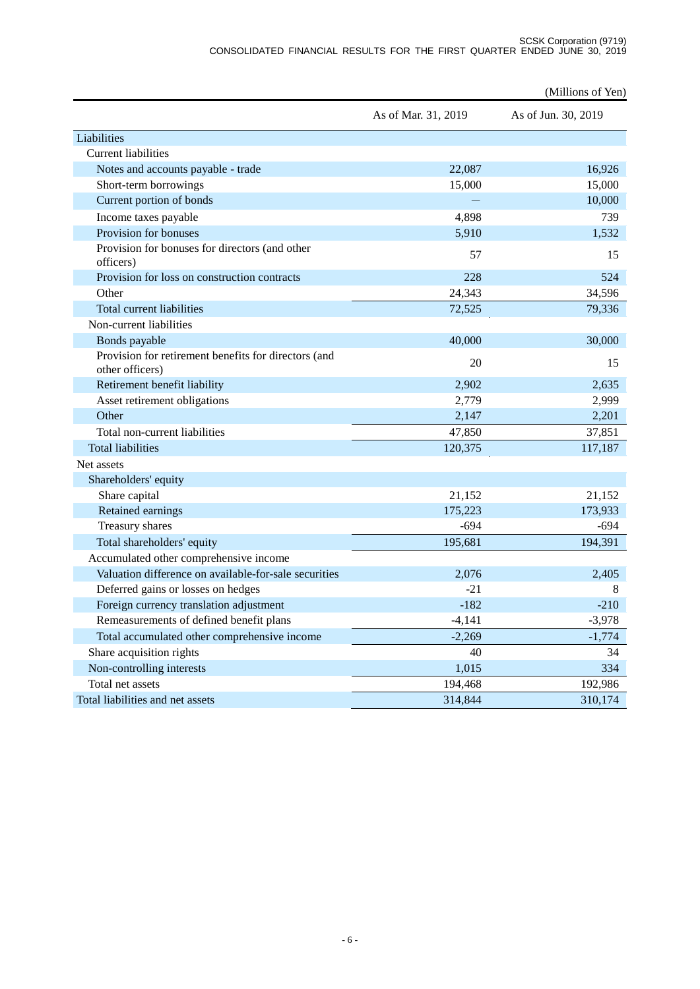|                                                                         |                     | (Millions of Yen)   |
|-------------------------------------------------------------------------|---------------------|---------------------|
|                                                                         | As of Mar. 31, 2019 | As of Jun. 30, 2019 |
| Liabilities                                                             |                     |                     |
| <b>Current liabilities</b>                                              |                     |                     |
| Notes and accounts payable - trade                                      | 22,087              | 16,926              |
| Short-term borrowings                                                   | 15,000              | 15,000              |
| Current portion of bonds                                                |                     | 10,000              |
| Income taxes payable                                                    | 4,898               | 739                 |
| Provision for bonuses                                                   | 5,910               | 1,532               |
| Provision for bonuses for directors (and other<br>officers)             | 57                  | 15                  |
| Provision for loss on construction contracts                            | 228                 | 524                 |
| Other                                                                   | 24,343              | 34,596              |
| Total current liabilities                                               | 72,525              | 79,336              |
| Non-current liabilities                                                 |                     |                     |
| Bonds payable                                                           | 40,000              | 30,000              |
| Provision for retirement benefits for directors (and<br>other officers) | 20                  | 15                  |
| Retirement benefit liability                                            | 2,902               | 2,635               |
| Asset retirement obligations                                            | 2,779               | 2,999               |
| Other                                                                   | 2,147               | 2,201               |
| Total non-current liabilities                                           | 47,850              | 37,851              |
| <b>Total liabilities</b>                                                | 120,375             | 117,187             |
| Net assets                                                              |                     |                     |
| Shareholders' equity                                                    |                     |                     |
| Share capital                                                           | 21,152              | 21,152              |
| Retained earnings                                                       | 175,223             | 173,933             |
| Treasury shares                                                         | $-694$              | $-694$              |
| Total shareholders' equity                                              | 195,681             | 194,391             |
| Accumulated other comprehensive income                                  |                     |                     |
| Valuation difference on available-for-sale securities                   | 2,076               | 2,405               |
| Deferred gains or losses on hedges                                      | $-21$               | 8                   |
| Foreign currency translation adjustment                                 | $-182$              | $-210$              |
| Remeasurements of defined benefit plans                                 | $-4,141$            | $-3,978$            |
| Total accumulated other comprehensive income                            | $-2,269$            | $-1,774$            |
| Share acquisition rights                                                | 40                  | 34                  |
| Non-controlling interests                                               | 1,015               | 334                 |
| Total net assets                                                        | 194,468             | 192,986             |
| Total liabilities and net assets                                        | 314,844             | 310,174             |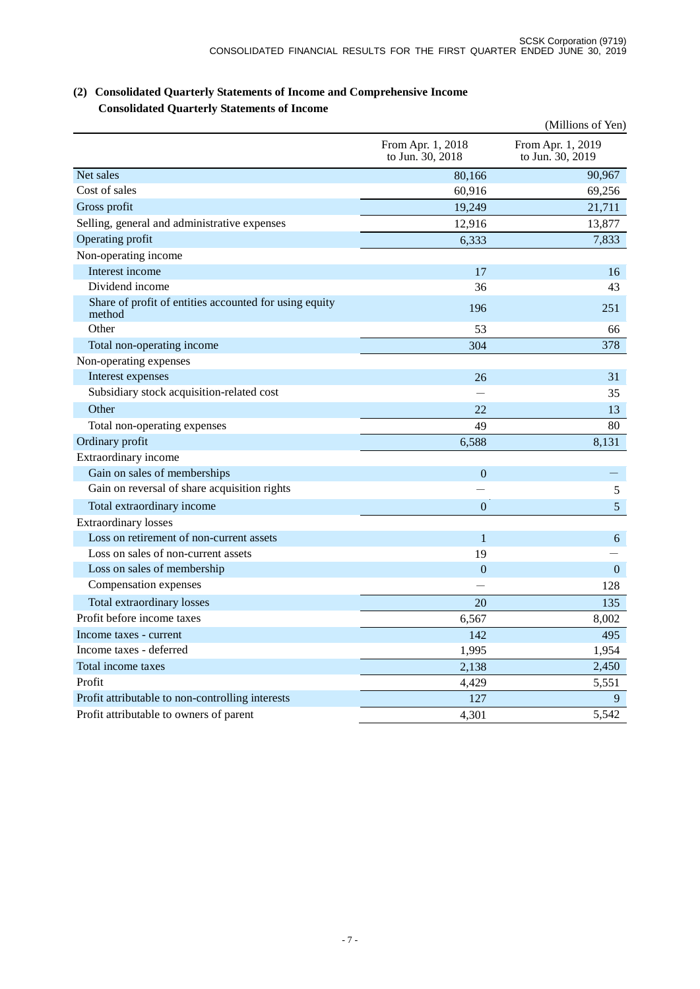|                                                                  |                                       | (Millions of Yen)                     |
|------------------------------------------------------------------|---------------------------------------|---------------------------------------|
|                                                                  | From Apr. 1, 2018<br>to Jun. 30, 2018 | From Apr. 1, 2019<br>to Jun. 30, 2019 |
| Net sales                                                        | 80,166                                | 90,967                                |
| Cost of sales                                                    | 60,916                                | 69,256                                |
| Gross profit                                                     | 19,249                                | 21,711                                |
| Selling, general and administrative expenses                     | 12,916                                | 13,877                                |
| Operating profit                                                 | 6,333                                 | 7,833                                 |
| Non-operating income                                             |                                       |                                       |
| Interest income                                                  | 17                                    | 16                                    |
| Dividend income                                                  | 36                                    | 43                                    |
| Share of profit of entities accounted for using equity<br>method | 196                                   | 251                                   |
| Other                                                            | 53                                    | 66                                    |
| Total non-operating income                                       | 304                                   | 378                                   |
| Non-operating expenses                                           |                                       |                                       |
| Interest expenses                                                | 26                                    | 31                                    |
| Subsidiary stock acquisition-related cost                        |                                       | 35                                    |
| Other                                                            | 22.                                   | 13                                    |
| Total non-operating expenses                                     | 49                                    | 80                                    |
| Ordinary profit                                                  | 6,588                                 | 8,131                                 |
| Extraordinary income                                             |                                       |                                       |
| Gain on sales of memberships                                     | $\theta$                              |                                       |
| Gain on reversal of share acquisition rights                     |                                       | $\sqrt{5}$                            |
| Total extraordinary income                                       | $\mathbf{0}$                          | 5                                     |
| <b>Extraordinary losses</b>                                      |                                       |                                       |
| Loss on retirement of non-current assets                         | $\mathbf{1}$                          | 6                                     |
| Loss on sales of non-current assets                              | 19                                    |                                       |
| Loss on sales of membership                                      | $\overline{0}$                        | $\mathbf{0}$                          |
| Compensation expenses                                            |                                       | 128                                   |
| Total extraordinary losses                                       | 20                                    | 135                                   |
| Profit before income taxes                                       | 6,567                                 | 8,002                                 |
| Income taxes - current                                           | 142                                   | 495                                   |
| Income taxes - deferred                                          | 1,995                                 | 1,954                                 |
| Total income taxes                                               | 2,138                                 | 2,450                                 |
| Profit                                                           | 4,429                                 | 5,551                                 |
| Profit attributable to non-controlling interests                 | 127                                   | 9                                     |
| Profit attributable to owners of parent                          | 4,301                                 | 5,542                                 |

### **(2) Consolidated Quarterly Statements of Income and Comprehensive Income Consolidated Quarterly Statements of Income**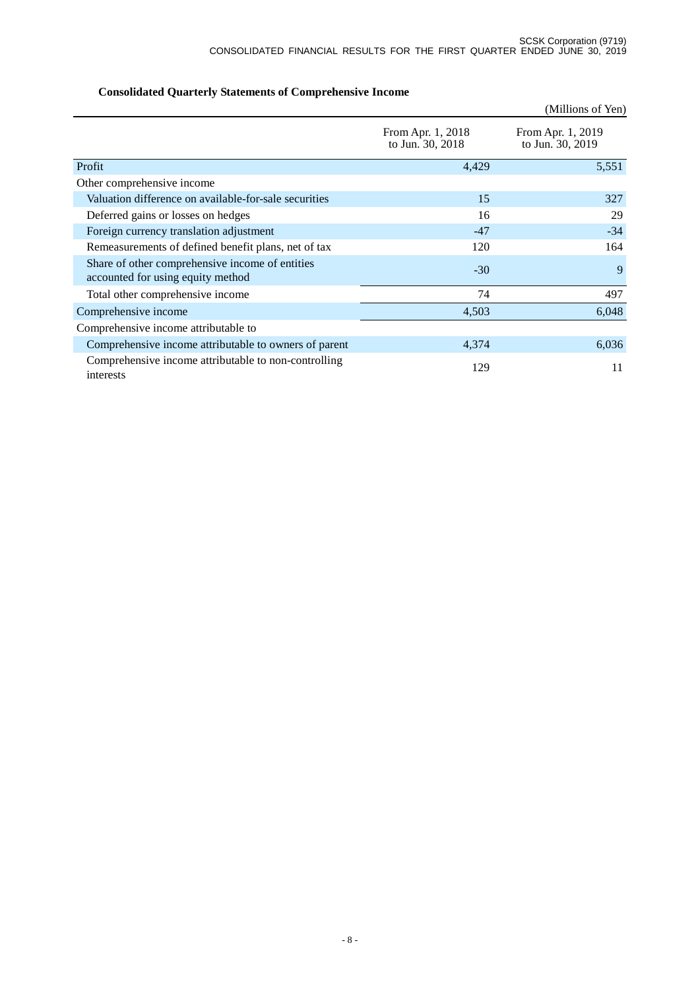|                                                                                      |                                       | (Millions of Yen)                     |
|--------------------------------------------------------------------------------------|---------------------------------------|---------------------------------------|
|                                                                                      | From Apr. 1, 2018<br>to Jun. 30, 2018 | From Apr. 1, 2019<br>to Jun. 30, 2019 |
| Profit                                                                               | 4,429                                 | 5,551                                 |
| Other comprehensive income                                                           |                                       |                                       |
| Valuation difference on available-for-sale securities                                | 15                                    | 327                                   |
| Deferred gains or losses on hedges                                                   | 16                                    | 29                                    |
| Foreign currency translation adjustment                                              | $-47$                                 | $-34$                                 |
| Remeasurements of defined benefit plans, net of tax                                  | 120                                   | 164                                   |
| Share of other comprehensive income of entities<br>accounted for using equity method | $-30$                                 | 9                                     |
| Total other comprehensive income                                                     | 74                                    | 497                                   |
| Comprehensive income                                                                 | 4,503                                 | 6,048                                 |
| Comprehensive income attributable to                                                 |                                       |                                       |
| Comprehensive income attributable to owners of parent                                | 4,374                                 | 6,036                                 |
| Comprehensive income attributable to non-controlling<br>interests                    | 129                                   | 11                                    |

# **Consolidated Quarterly Statements of Comprehensive Income**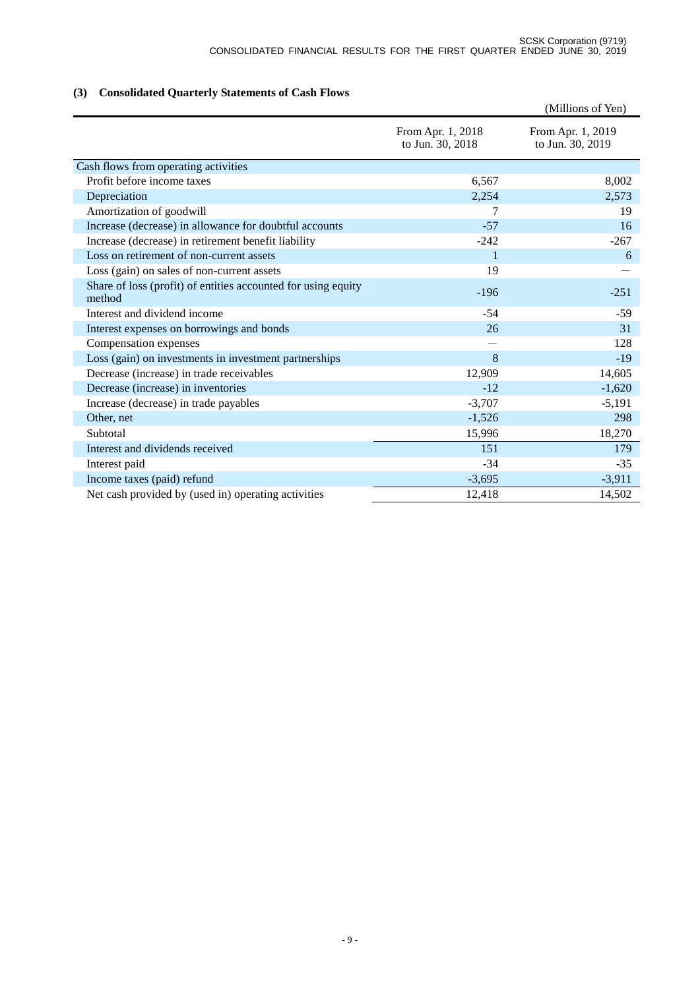# **(3) Consolidated Quarterly Statements of Cash Flows**

|                                                                         |                                       | (Millions of Yen)                     |
|-------------------------------------------------------------------------|---------------------------------------|---------------------------------------|
|                                                                         | From Apr. 1, 2018<br>to Jun. 30, 2018 | From Apr. 1, 2019<br>to Jun. 30, 2019 |
| Cash flows from operating activities                                    |                                       |                                       |
| Profit before income taxes                                              | 6,567                                 | 8,002                                 |
| Depreciation                                                            | 2,254                                 | 2,573                                 |
| Amortization of goodwill                                                | 7                                     | 19                                    |
| Increase (decrease) in allowance for doubtful accounts                  | $-57$                                 | 16                                    |
| Increase (decrease) in retirement benefit liability                     | $-242$                                | $-267$                                |
| Loss on retirement of non-current assets                                | $\mathbf{1}$                          | 6                                     |
| Loss (gain) on sales of non-current assets                              | 19                                    |                                       |
| Share of loss (profit) of entities accounted for using equity<br>method | $-196$                                | $-251$                                |
| Interest and dividend income                                            | $-54$                                 | $-59$                                 |
| Interest expenses on borrowings and bonds                               | 26                                    | 31                                    |
| Compensation expenses                                                   |                                       | 128                                   |
| Loss (gain) on investments in investment partnerships                   | 8                                     | $-19$                                 |
| Decrease (increase) in trade receivables                                | 12,909                                | 14,605                                |
| Decrease (increase) in inventories                                      | $-12$                                 | $-1,620$                              |
| Increase (decrease) in trade payables                                   | $-3,707$                              | $-5,191$                              |
| Other, net                                                              | $-1,526$                              | 298                                   |
| Subtotal                                                                | 15,996                                | 18,270                                |
| Interest and dividends received                                         | 151                                   | 179                                   |
| Interest paid                                                           | $-34$                                 | $-35$                                 |
| Income taxes (paid) refund                                              | $-3,695$                              | $-3,911$                              |
| Net cash provided by (used in) operating activities                     | 12,418                                | 14,502                                |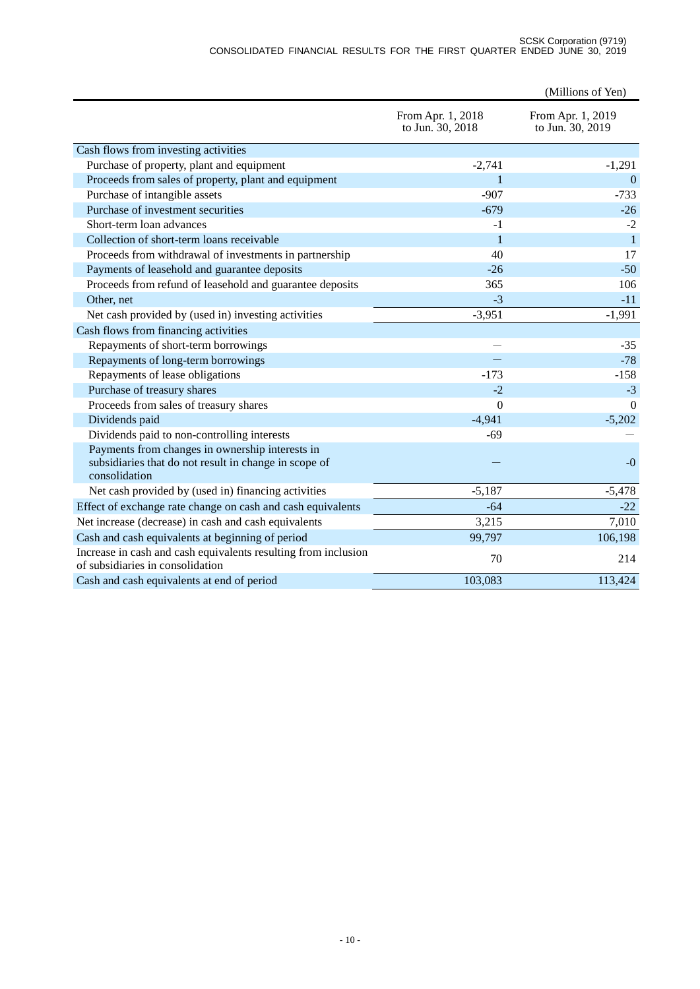#### SCSK Corporation (9719) CONSOLIDATED FINANCIAL RESULTS FOR THE FIRST QUARTER ENDED JUNE 30, 2019

|                                                                                                                           |                                       | (Millions of Yen)                     |
|---------------------------------------------------------------------------------------------------------------------------|---------------------------------------|---------------------------------------|
|                                                                                                                           | From Apr. 1, 2018<br>to Jun. 30, 2018 | From Apr. 1, 2019<br>to Jun. 30, 2019 |
| Cash flows from investing activities                                                                                      |                                       |                                       |
| Purchase of property, plant and equipment                                                                                 | $-2,741$                              | $-1,291$                              |
| Proceeds from sales of property, plant and equipment                                                                      | 1                                     | $\overline{0}$                        |
| Purchase of intangible assets                                                                                             | $-907$                                | $-733$                                |
| Purchase of investment securities                                                                                         | $-679$                                | $-26$                                 |
| Short-term loan advances                                                                                                  | $-1$                                  | $-2$                                  |
| Collection of short-term loans receivable                                                                                 | $\mathbf{1}$                          | $\mathbf{1}$                          |
| Proceeds from withdrawal of investments in partnership                                                                    | 40                                    | 17                                    |
| Payments of leasehold and guarantee deposits                                                                              | $-26$                                 | $-50$                                 |
| Proceeds from refund of leasehold and guarantee deposits                                                                  | 365                                   | 106                                   |
| Other, net                                                                                                                | $-3$                                  | $-11$                                 |
| Net cash provided by (used in) investing activities                                                                       | $-3,951$                              | $-1,991$                              |
| Cash flows from financing activities                                                                                      |                                       |                                       |
| Repayments of short-term borrowings                                                                                       |                                       | $-35$                                 |
| Repayments of long-term borrowings                                                                                        |                                       | $-78$                                 |
| Repayments of lease obligations                                                                                           | $-173$                                | $-158$                                |
| Purchase of treasury shares                                                                                               | $-2$                                  | $-3$                                  |
| Proceeds from sales of treasury shares                                                                                    | $\overline{0}$                        | $\Omega$                              |
| Dividends paid                                                                                                            | $-4,941$                              | $-5,202$                              |
| Dividends paid to non-controlling interests                                                                               | $-69$                                 |                                       |
| Payments from changes in ownership interests in<br>subsidiaries that do not result in change in scope of<br>consolidation |                                       | $-0$                                  |
| Net cash provided by (used in) financing activities                                                                       | $-5,187$                              | $-5,478$                              |
| Effect of exchange rate change on cash and cash equivalents                                                               | $-64$                                 | $-22$                                 |
| Net increase (decrease) in cash and cash equivalents                                                                      | 3,215                                 | 7,010                                 |
| Cash and cash equivalents at beginning of period                                                                          | 99,797                                | 106,198                               |
| Increase in cash and cash equivalents resulting from inclusion<br>of subsidiaries in consolidation                        | 70                                    | 214                                   |
| Cash and cash equivalents at end of period                                                                                | 103,083                               | 113,424                               |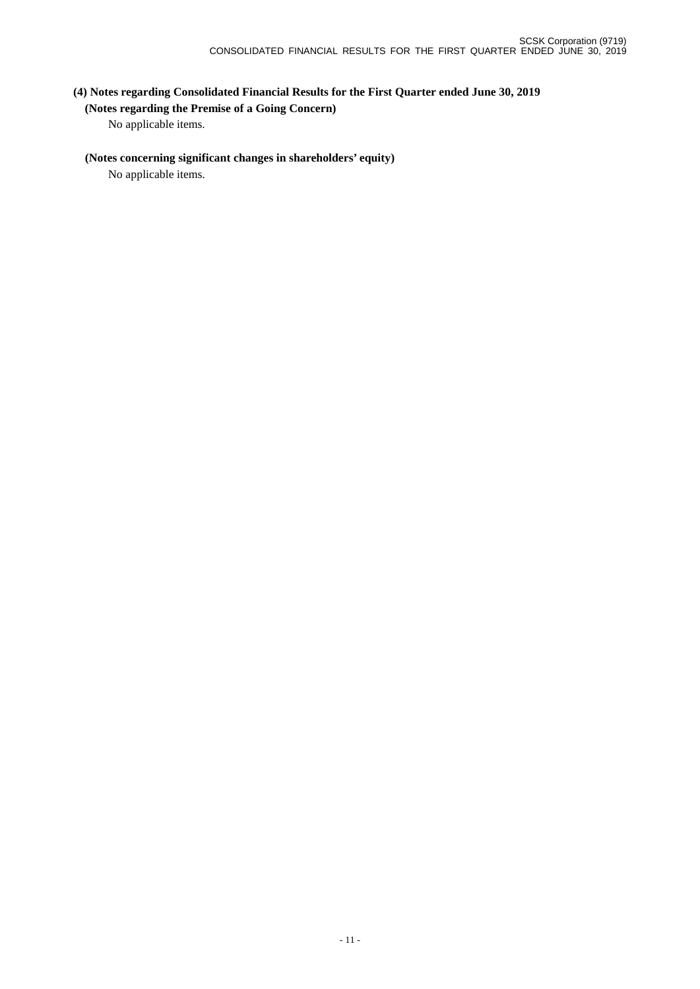# **(4) Notes regarding Consolidated Financial Results for the First Quarter ended June 30, 2019**

### **(Notes regarding the Premise of a Going Concern)**

No applicable items.

### **(Notes concerning significant changes in shareholders' equity)**

No applicable items.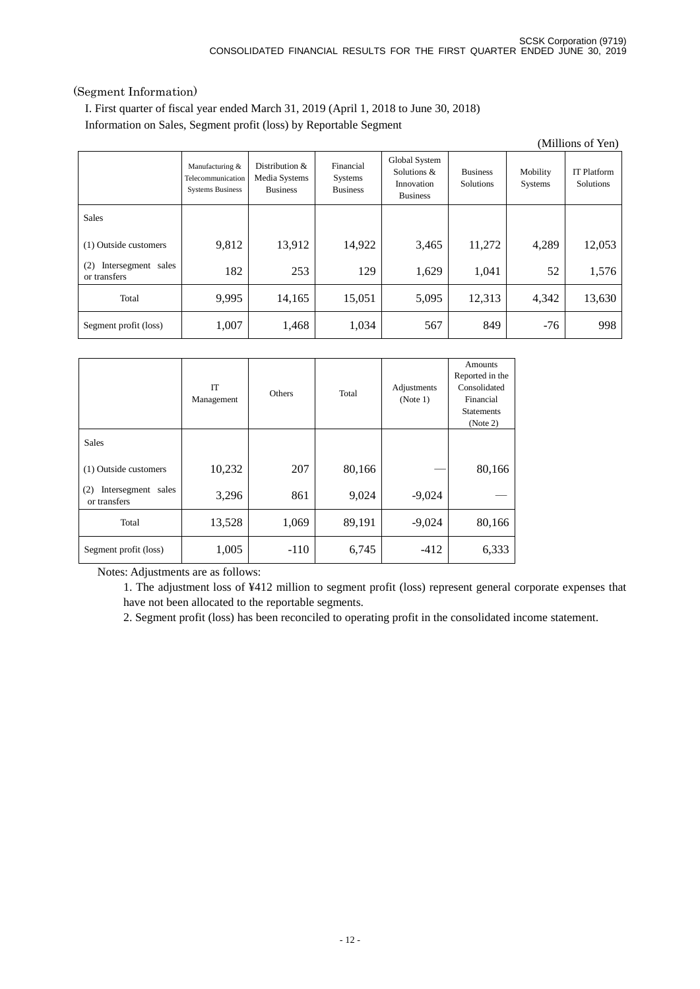### (Segment Information)

I. First quarter of fiscal year ended March 31, 2019 (April 1, 2018 to June 30, 2018) Information on Sales, Segment profit (loss) by Reportable Segment

|                                           |                                                                 |                                                    |                                                |                                                               |                                     |                     | (Millions of Yen)               |
|-------------------------------------------|-----------------------------------------------------------------|----------------------------------------------------|------------------------------------------------|---------------------------------------------------------------|-------------------------------------|---------------------|---------------------------------|
|                                           | Manufacturing &<br>Telecommunication<br><b>Systems Business</b> | Distribution &<br>Media Systems<br><b>Business</b> | Financial<br><b>Systems</b><br><b>Business</b> | Global System<br>Solutions &<br>Innovation<br><b>Business</b> | <b>Business</b><br><b>Solutions</b> | Mobility<br>Systems | <b>IT Platform</b><br>Solutions |
| <b>Sales</b>                              |                                                                 |                                                    |                                                |                                                               |                                     |                     |                                 |
| (1) Outside customers                     | 9,812                                                           | 13,912                                             | 14,922                                         | 3,465                                                         | 11,272                              | 4,289               | 12,053                          |
| (2)<br>Intersegment sales<br>or transfers | 182                                                             | 253                                                | 129                                            | 1,629                                                         | 1,041                               | 52                  | 1,576                           |
| Total                                     | 9,995                                                           | 14,165                                             | 15,051                                         | 5,095                                                         | 12,313                              | 4,342               | 13,630                          |
| Segment profit (loss)                     | 1,007                                                           | 1,468                                              | 1,034                                          | 567                                                           | 849                                 | $-76$               | 998                             |

|                                              | <b>IT</b><br>Management | <b>Others</b> | Total  | Adjustments<br>(Note 1) | Amounts<br>Reported in the<br>Consolidated<br>Financial<br><b>Statements</b><br>(Note 2) |
|----------------------------------------------|-------------------------|---------------|--------|-------------------------|------------------------------------------------------------------------------------------|
| <b>Sales</b>                                 |                         |               |        |                         |                                                                                          |
| (1) Outside customers                        | 10,232                  | 207           | 80,166 |                         | 80,166                                                                                   |
| Intersegment<br>(2)<br>sales<br>or transfers | 3,296                   | 861           | 9,024  | $-9,024$                |                                                                                          |
| Total                                        | 13,528                  | 1,069         | 89,191 | $-9,024$                | 80,166                                                                                   |
| Segment profit (loss)                        | 1,005                   | $-110$        | 6,745  | $-412$                  | 6,333                                                                                    |

Notes: Adjustments are as follows:

1. The adjustment loss of ¥412 million to segment profit (loss) represent general corporate expenses that have not been allocated to the reportable segments.

2. Segment profit (loss) has been reconciled to operating profit in the consolidated income statement.